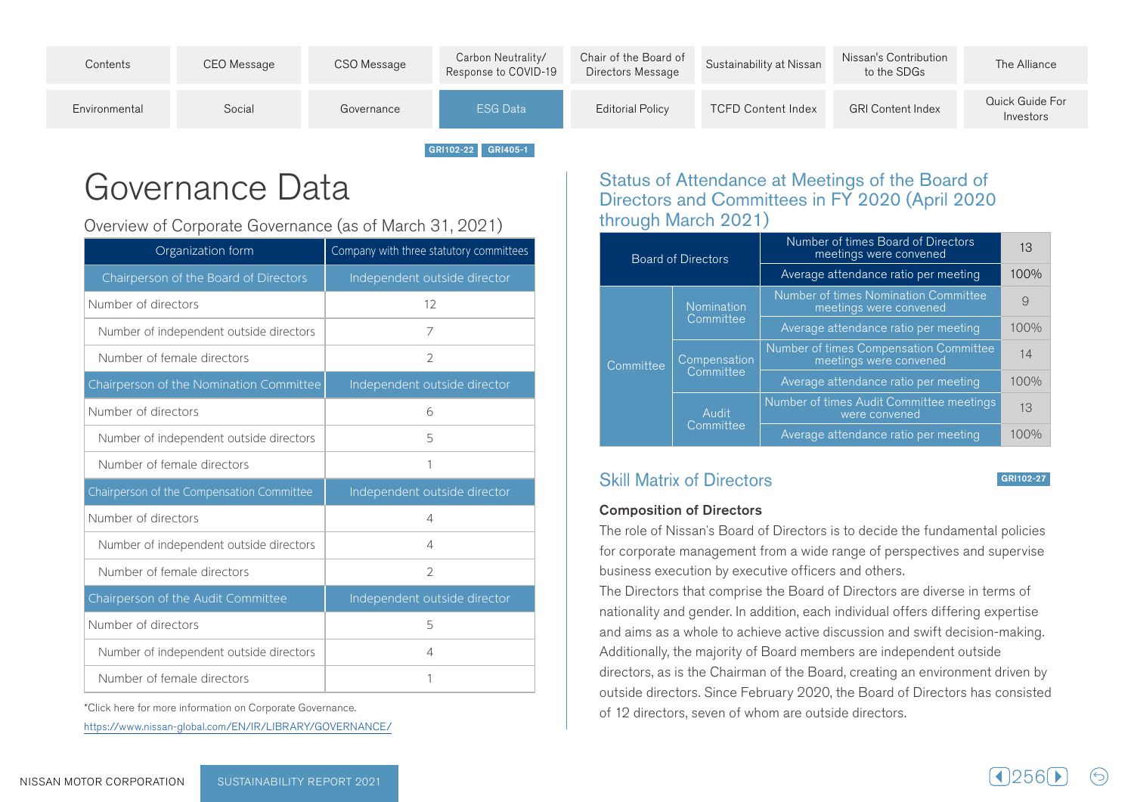| Quick Guide For<br>ESG Data<br><b>GRI Content Index</b><br><b>TCFD Content Index</b><br>Social<br><b>Editorial Policy</b><br>Environmental<br>Governance<br>Investors | Contents | CEO Message | CSO Message | Carbon Neutrality/<br>Response to COVID-19 | Chair of the Board of<br>Directors Message | Sustainability at Nissan | Nissan's Contribution<br>to the SDGs | The Alliance |
|-----------------------------------------------------------------------------------------------------------------------------------------------------------------------|----------|-------------|-------------|--------------------------------------------|--------------------------------------------|--------------------------|--------------------------------------|--------------|
|                                                                                                                                                                       |          |             |             |                                            |                                            |                          |                                      |              |

GRI102-22 GRI405-1

## Governance Data

Overview of Corporate Governance (as of March 31, 2021)

| Organization form                         | Company with three statutory committees |  |  |  |
|-------------------------------------------|-----------------------------------------|--|--|--|
| Chairperson of the Board of Directors     | Independent outside director            |  |  |  |
| Number of directors                       | 12                                      |  |  |  |
| Number of independent outside directors   | 7                                       |  |  |  |
| Number of female directors                | $\overline{2}$                          |  |  |  |
| Chairperson of the Nomination Committee   | Independent outside director            |  |  |  |
| Number of directors                       | 6                                       |  |  |  |
| Number of independent outside directors   | 5                                       |  |  |  |
| Number of female directors                | 1                                       |  |  |  |
| Chairperson of the Compensation Committee | Independent outside director            |  |  |  |
| Number of directors                       | $\overline{4}$                          |  |  |  |
| Number of independent outside directors   | $\Delta$                                |  |  |  |
| Number of female directors                | $\mathfrak{D}$                          |  |  |  |
| Chairperson of the Audit Committee        | Independent outside director            |  |  |  |
| Number of directors                       | 5                                       |  |  |  |
| Number of independent outside directors   | $\overline{4}$                          |  |  |  |
| Number of female directors                | 1                                       |  |  |  |

\*Click here for more information on Corporate Governance.

https://www.nissan-qlobal.com/EN/IR/LIBRARY/GOVERNANCE/

## Status of Attendance at Meetings of the Board of Directors and Committees in FY 2020 (April 2020 through March 2021)

|  |           | <b>Board of Directors</b> | Number of times Board of Directors<br>meetings were convened     | 13   |
|--|-----------|---------------------------|------------------------------------------------------------------|------|
|  |           |                           | Average attendance ratio per meeting                             | 100% |
|  |           | Nomination                | Number of times Nomination Committee<br>meetings were convened   | 9    |
|  |           | Committee                 | Average attendance ratio per meeting                             | 100% |
|  | Committee | Compensation              | Number of times Compensation Committee<br>meetings were convened | 14   |
|  |           | Committee                 | Average attendance ratio per meeting                             | 100% |
|  |           | Audit                     | Number of times Audit Committee meetings<br>were convened        | 13   |
|  |           | Committee                 | Average attendance ratio per meeting                             | 100% |

## **Skill Matrix of Directors**

GRI102-27

## **Composition of Directors**

The role of Nissan's Board of Directors is to decide the fundamental policies for corporate management from a wide range of perspectives and supervise business execution by executive officers and others.

The Directors that comprise the Board of Directors are diverse in terms of nationality and gender. In addition, each individual offers differing expertise and aims as a whole to achieve active discussion and swift decision-making. Additionally, the majority of Board members are independent outside directors, as is the Chairman of the Board, creating an environment driven by outside directors. Since February 2020, the Board of Directors has consisted of 12 directors, seven of whom are outside directors.